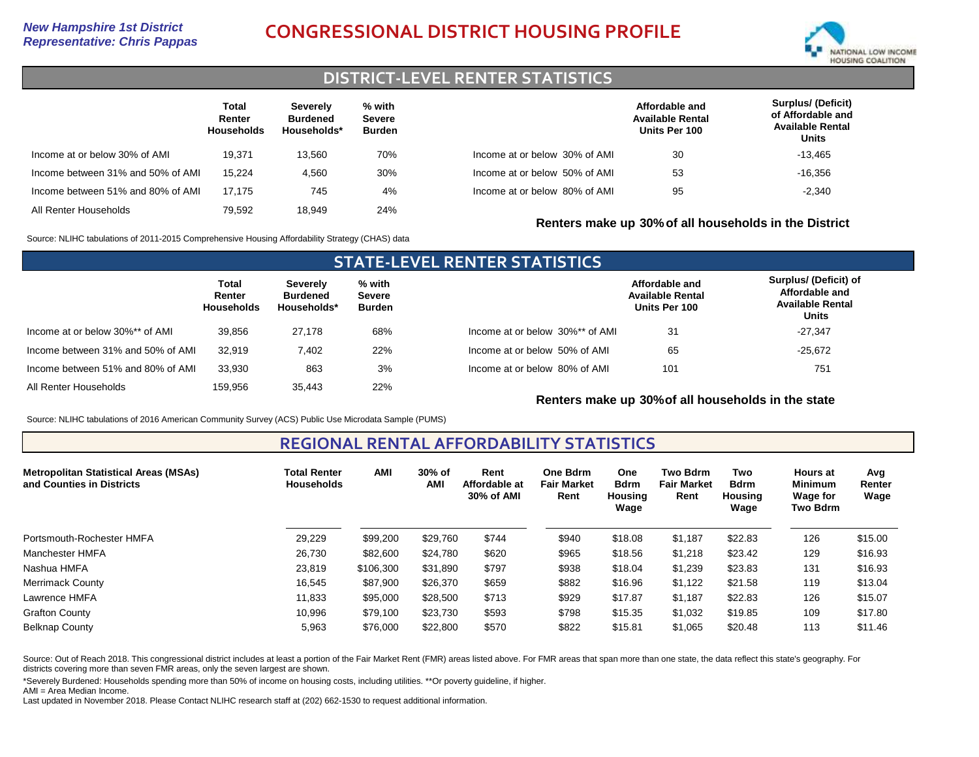

# **DISTRICT-LEVEL RENTER STATISTICS**

|                                   | Total<br>Renter<br><b>Households</b> | <b>Severely</b><br><b>Burdened</b><br>Households* | % with<br><b>Severe</b><br><b>Burden</b> |                               | Affordable and<br><b>Available Rental</b><br>Units Per 100 | <b>Surplus/ (Deficit)</b><br>of Affordable and<br><b>Available Rental</b><br>Units |
|-----------------------------------|--------------------------------------|---------------------------------------------------|------------------------------------------|-------------------------------|------------------------------------------------------------|------------------------------------------------------------------------------------|
| Income at or below 30% of AMI     | 19.371                               | 13.560                                            | 70%                                      | Income at or below 30% of AMI | 30                                                         | $-13.465$                                                                          |
| Income between 31% and 50% of AMI | 15.224                               | 4.560                                             | 30%                                      | Income at or below 50% of AMI | 53                                                         | $-16.356$                                                                          |
| Income between 51% and 80% of AMI | 17.175                               | 745                                               | 4%                                       | Income at or below 80% of AMI | 95                                                         | $-2,340$                                                                           |
| All Renter Households             | 79.592                               | 18.949                                            | 24%                                      |                               |                                                            |                                                                                    |

**Renters make up 30%of all households in the District**

Source: NLIHC tabulations of 2011-2015 Comprehensive Housing Affordability Strategy (CHAS) data

| <b>STATE-LEVEL RENTER STATISTICS</b> |                                      |                                            |                                   |                                 |                                                            |                                                                                    |  |  |  |
|--------------------------------------|--------------------------------------|--------------------------------------------|-----------------------------------|---------------------------------|------------------------------------------------------------|------------------------------------------------------------------------------------|--|--|--|
|                                      | Total<br>Renter<br><b>Households</b> | Severely<br><b>Burdened</b><br>Households* | % with<br>Severe<br><b>Burden</b> |                                 | Affordable and<br><b>Available Rental</b><br>Units Per 100 | Surplus/ (Deficit) of<br>Affordable and<br><b>Available Rental</b><br><b>Units</b> |  |  |  |
| Income at or below 30%** of AMI      | 39.856                               | 27.178                                     | 68%                               | Income at or below 30%** of AMI | 31                                                         | $-27,347$                                                                          |  |  |  |
| Income between 31% and 50% of AMI    | 32.919                               | 7.402                                      | 22%                               | Income at or below 50% of AMI   | 65                                                         | $-25,672$                                                                          |  |  |  |
| Income between 51% and 80% of AMI    | 33.930                               | 863                                        | 3%                                | Income at or below 80% of AMI   | 101                                                        | 751                                                                                |  |  |  |
| All Renter Households                | 159.956                              | 35.443                                     | 22%                               |                                 |                                                            |                                                                                    |  |  |  |

**Renters make up 30%of all households in the state**

Source: NLIHC tabulations of 2016 American Community Survey (ACS) Public Use Microdata Sample (PUMS)

## **REGIONAL RENTAL AFFORDABILITY STATISTICS**

| <b>Metropolitan Statistical Areas (MSAs)</b><br>and Counties in Districts | <b>Total Renter</b><br><b>Households</b> | <b>AMI</b> | 30% of<br>AMI | Rent<br>Affordable at<br>30% of AMI | One Bdrm<br><b>Fair Market</b><br>Rent | <b>One</b><br><b>Bdrm</b><br>Housing<br>Waqe | <b>Two Bdrm</b><br><b>Fair Market</b><br>Rent | Two<br><b>Bdrm</b><br>Housing<br>Wage | <b>Hours</b> at<br><b>Minimum</b><br><b>Wage for</b><br><b>Two Bdrm</b> | Avg<br>Renter<br>Wage |
|---------------------------------------------------------------------------|------------------------------------------|------------|---------------|-------------------------------------|----------------------------------------|----------------------------------------------|-----------------------------------------------|---------------------------------------|-------------------------------------------------------------------------|-----------------------|
| Portsmouth-Rochester HMFA                                                 | 29,229                                   | \$99,200   | \$29,760      | \$744                               | \$940                                  | \$18.08                                      | \$1,187                                       | \$22.83                               | 126                                                                     | \$15.00               |
| Manchester HMFA                                                           | 26,730                                   | \$82,600   | \$24,780      | \$620                               | \$965                                  | \$18.56                                      | \$1,218                                       | \$23.42                               | 129                                                                     | \$16.93               |
| Nashua HMFA                                                               | 23,819                                   | \$106.300  | \$31,890      | \$797                               | \$938                                  | \$18.04                                      | \$1,239                                       | \$23.83                               | 131                                                                     | \$16.93               |
| Merrimack County                                                          | 16,545                                   | \$87,900   | \$26,370      | \$659                               | \$882                                  | \$16.96                                      | \$1,122                                       | \$21.58                               | 119                                                                     | \$13.04               |
| Lawrence HMFA                                                             | 11,833                                   | \$95,000   | \$28,500      | \$713                               | \$929                                  | \$17.87                                      | \$1,187                                       | \$22.83                               | 126                                                                     | \$15.07               |
| <b>Grafton County</b>                                                     | 10,996                                   | \$79,100   | \$23,730      | \$593                               | \$798                                  | \$15.35                                      | \$1,032                                       | \$19.85                               | 109                                                                     | \$17.80               |
| <b>Belknap County</b>                                                     | 5,963                                    | \$76,000   | \$22,800      | \$570                               | \$822                                  | \$15.81                                      | \$1,065                                       | \$20.48                               | 113                                                                     | \$11.46               |

Source: Out of Reach 2018. This congressional district includes at least a portion of the Fair Market Rent (FMR) areas listed above. For FMR areas that span more than one state, the data reflect this state's geography. For districts covering more than seven FMR areas, only the seven largest are shown.

\*Severely Burdened: Households spending more than 50% of income on housing costs, including utilities. \*\*Or poverty guideline, if higher. AMI = Area Median Income.

Last updated in November 2018. Please Contact NLIHC research staff at (202) 662-1530 to request additional information.